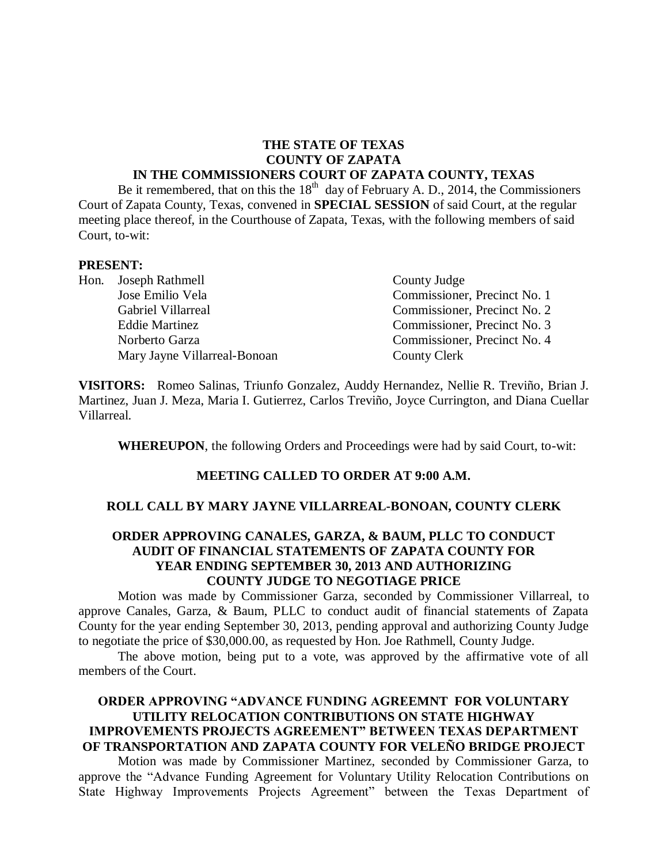# **THE STATE OF TEXAS COUNTY OF ZAPATA**

#### **IN THE COMMISSIONERS COURT OF ZAPATA COUNTY, TEXAS**

Be it remembered, that on this the  $18<sup>th</sup>$  day of February A. D., 2014, the Commissioners Court of Zapata County, Texas, convened in **SPECIAL SESSION** of said Court, at the regular meeting place thereof, in the Courthouse of Zapata, Texas, with the following members of said Court, to-wit:

#### **PRESENT:**

Hon. Joseph Rathmell County Judge Mary Jayne Villarreal-Bonoan County Clerk

Jose Emilio Vela Commissioner, Precinct No. 1 Gabriel Villarreal Commissioner, Precinct No. 2 Eddie Martinez Commissioner, Precinct No. 3 Norberto Garza Commissioner, Precinct No. 4

**VISITORS:** Romeo Salinas, Triunfo Gonzalez, Auddy Hernandez, Nellie R. Treviño, Brian J. Martinez, Juan J. Meza, Maria I. Gutierrez, Carlos Treviño, Joyce Currington, and Diana Cuellar Villarreal.

**WHEREUPON**, the following Orders and Proceedings were had by said Court, to-wit:

#### **MEETING CALLED TO ORDER AT 9:00 A.M.**

#### **ROLL CALL BY MARY JAYNE VILLARREAL-BONOAN, COUNTY CLERK**

### **ORDER APPROVING CANALES, GARZA, & BAUM, PLLC TO CONDUCT AUDIT OF FINANCIAL STATEMENTS OF ZAPATA COUNTY FOR YEAR ENDING SEPTEMBER 30, 2013 AND AUTHORIZING COUNTY JUDGE TO NEGOTIAGE PRICE**

Motion was made by Commissioner Garza, seconded by Commissioner Villarreal, to approve Canales, Garza, & Baum, PLLC to conduct audit of financial statements of Zapata County for the year ending September 30, 2013, pending approval and authorizing County Judge to negotiate the price of \$30,000.00, as requested by Hon. Joe Rathmell, County Judge.

The above motion, being put to a vote, was approved by the affirmative vote of all members of the Court.

### **ORDER APPROVING "ADVANCE FUNDING AGREEMNT FOR VOLUNTARY UTILITY RELOCATION CONTRIBUTIONS ON STATE HIGHWAY IMPROVEMENTS PROJECTS AGREEMENT" BETWEEN TEXAS DEPARTMENT OF TRANSPORTATION AND ZAPATA COUNTY FOR VELEÑO BRIDGE PROJECT**

Motion was made by Commissioner Martinez, seconded by Commissioner Garza, to approve the "Advance Funding Agreement for Voluntary Utility Relocation Contributions on State Highway Improvements Projects Agreement" between the Texas Department of